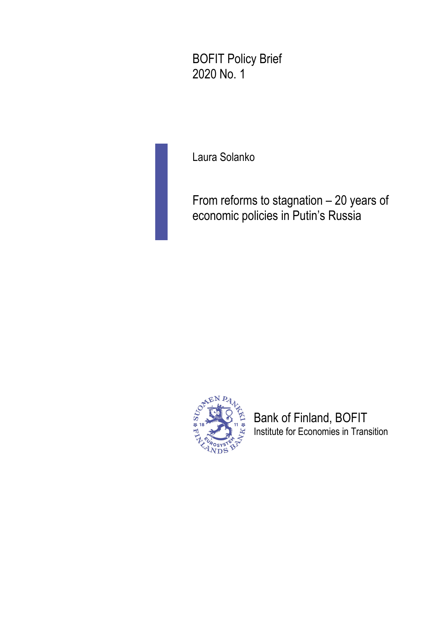BOFIT Policy Brief 2020 No. 1

Laura Solanko

From reforms to stagnation – 20 years of economic policies in Putin's Russia



Bank of Finland, BOFIT Institute for Economies in Transition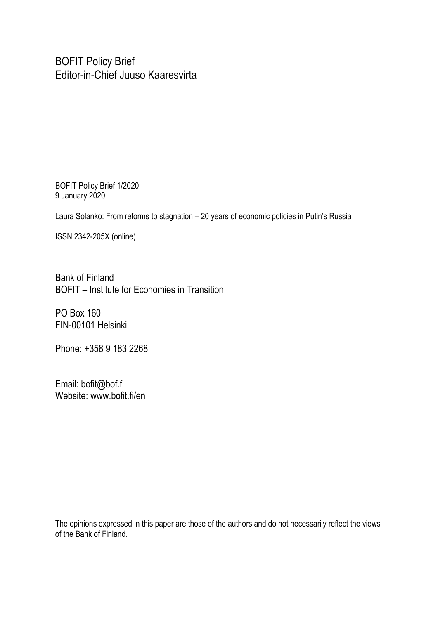BOFIT Policy Brief Editor-in-Chief Juuso Kaaresvirta

BOFIT Policy Brief 1/2020 9 January 2020

Laura Solanko: From reforms to stagnation – 20 years of economic policies in Putin's Russia

ISSN 2342-205X (online)

Bank of Finland BOFIT – Institute for Economies in Transition

PO Box 160 FIN-00101 Helsinki

Phone: +358 9 183 2268

Email: bofit@bof.fi Website: www.bofit.fi/en

The opinions expressed in this paper are those of the authors and do not necessarily reflect the views of the Bank of Finland.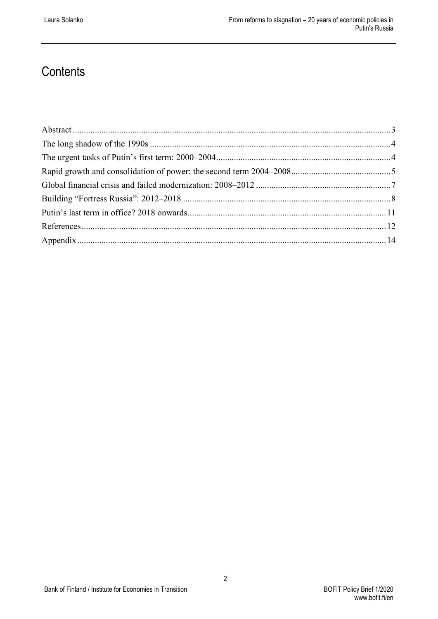## **Contents**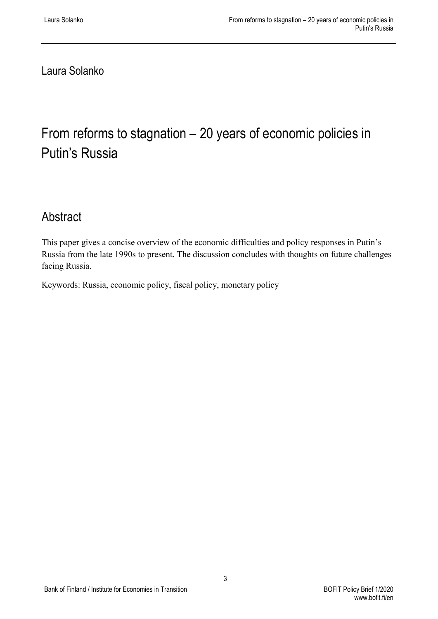Laura Solanko

# From reforms to stagnation – 20 years of economic policies in Putin's Russia

## <span id="page-3-0"></span>Abstract

This paper gives a concise overview of the economic difficulties and policy responses in Putin's Russia from the late 1990s to present. The discussion concludes with thoughts on future challenges facing Russia.

Keywords: Russia, economic policy, fiscal policy, monetary policy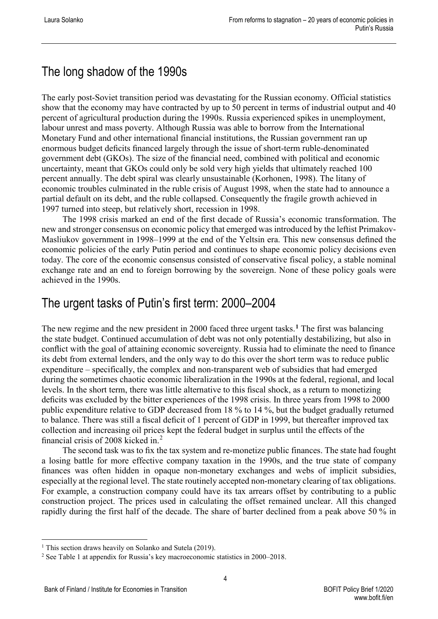## <span id="page-4-0"></span>The long shadow of the 1990s

The early post-Soviet transition period was devastating for the Russian economy. Official statistics show that the economy may have contracted by up to 50 percent in terms of industrial output and 40 percent of agricultural production during the 1990s. Russia experienced spikes in unemployment, labour unrest and mass poverty. Although Russia was able to borrow from the International Monetary Fund and other international financial institutions, the Russian government ran up enormous budget deficits financed largely through the issue of short-term ruble-denominated government debt (GKOs). The size of the financial need, combined with political and economic uncertainty, meant that GKOs could only be sold very high yields that ultimately reached 100 percent annually. The debt spiral was clearly unsustainable (Korhonen, 1998). The litany of economic troubles culminated in the ruble crisis of August 1998, when the state had to announce a partial default on its debt, and the ruble collapsed. Consequently the fragile growth achieved in 1997 turned into steep, but relatively short, recession in 1998.

The 1998 crisis marked an end of the first decade of Russia's economic transformation. The new and stronger consensus on economic policy that emerged was introduced by the leftist Primakov-Masliukov government in 1998–1999 at the end of the Yeltsin era. This new consensus defined the economic policies of the early Putin period and continues to shape economic policy decisions even today. The core of the economic consensus consisted of conservative fiscal policy, a stable nominal exchange rate and an end to foreign borrowing by the sovereign. None of these policy goals were achieved in the 1990s.

#### <span id="page-4-1"></span>The urgent tasks of Putin's first term: 2000–2004

The new regime and the new president in 2000 faced three urgent tasks.**[1](#page-4-2)** The first was balancing the state budget. Continued accumulation of debt was not only potentially destabilizing, but also in conflict with the goal of attaining economic sovereignty. Russia had to eliminate the need to finance its debt from external lenders, and the only way to do this over the short term was to reduce public expenditure – specifically, the complex and non-transparent web of subsidies that had emerged during the sometimes chaotic economic liberalization in the 1990s at the federal, regional, and local levels. In the short term, there was little alternative to this fiscal shock, as a return to monetizing deficits was excluded by the bitter experiences of the 1998 crisis. In three years from 1998 to 2000 public expenditure relative to GDP decreased from 18 % to 14 %, but the budget gradually returned to balance. There was still a fiscal deficit of 1 percent of GDP in 1999, but thereafter improved tax collection and increasing oil prices kept the federal budget in surplus until the effects of the financial crisis of 2008 kicked in. [2](#page-4-3)

The second task was to fix the tax system and re-monetize public finances. The state had fought a losing battle for more effective company taxation in the 1990s, and the true state of company finances was often hidden in opaque non-monetary exchanges and webs of implicit subsidies, especially at the regional level. The state routinely accepted non-monetary clearing of tax obligations. For example, a construction company could have its tax arrears offset by contributing to a public construction project. The prices used in calculating the offset remained unclear. All this changed rapidly during the first half of the decade. The share of barter declined from a peak above 50 % in

<span id="page-4-2"></span><sup>&</sup>lt;sup>1</sup> This section draws heavily on Solanko and Sutela (2019).

<span id="page-4-3"></span><sup>2</sup> See Table 1 at appendix for Russia's key macroeconomic statistics in 2000–2018.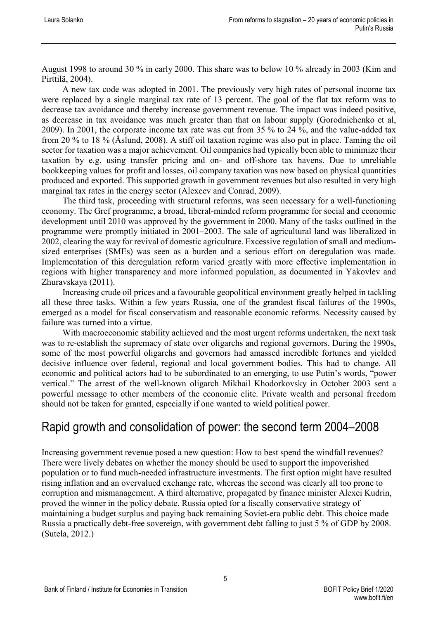August 1998 to around 30 % in early 2000. This share was to below 10 % already in 2003 (Kim and Pirttilä, 2004).

A new tax code was adopted in 2001. The previously very high rates of personal income tax were replaced by a single marginal tax rate of 13 percent. The goal of the flat tax reform was to decrease tax avoidance and thereby increase government revenue. The impact was indeed positive, as decrease in tax avoidance was much greater than that on labour supply (Gorodnichenko et al, 2009). In 2001, the corporate income tax rate was cut from 35 % to 24 %, and the value-added tax from 20 % to 18 % (Åslund, 2008). A stiff oil taxation regime was also put in place. Taming the oil sector for taxation was a major achievement. Oil companies had typically been able to minimize their taxation by e.g. using transfer pricing and on- and off-shore tax havens. Due to unreliable bookkeeping values for profit and losses, oil company taxation was now based on physical quantities produced and exported. This supported growth in government revenues but also resulted in very high marginal tax rates in the energy sector (Alexeev and Conrad, 2009).

The third task, proceeding with structural reforms, was seen necessary for a well-functioning economy. The Gref programme, a broad, liberal-minded reform programme for social and economic development until 2010 was approved by the government in 2000. Many of the tasks outlined in the programme were promptly initiated in 2001–2003. The sale of agricultural land was liberalized in 2002, clearing the way for revival of domestic agriculture. Excessive regulation of small and mediumsized enterprises (SMEs) was seen as a burden and a serious effort on deregulation was made. Implementation of this deregulation reform varied greatly with more effective implementation in regions with higher transparency and more informed population, as documented in Yakovlev and Zhuravskaya (2011).

Increasing crude oil prices and a favourable geopolitical environment greatly helped in tackling all these three tasks. Within a few years Russia, one of the grandest fiscal failures of the 1990s, emerged as a model for fiscal conservatism and reasonable economic reforms. Necessity caused by failure was turned into a virtue.

With macroeconomic stability achieved and the most urgent reforms undertaken, the next task was to re-establish the supremacy of state over oligarchs and regional governors. During the 1990s, some of the most powerful oligarchs and governors had amassed incredible fortunes and yielded decisive influence over federal, regional and local government bodies. This had to change. All economic and political actors had to be subordinated to an emerging, to use Putin's words, "power vertical." The arrest of the well-known oligarch Mikhail Khodorkovsky in October 2003 sent a powerful message to other members of the economic elite. Private wealth and personal freedom should not be taken for granted, especially if one wanted to wield political power.

#### <span id="page-5-0"></span>Rapid growth and consolidation of power: the second term 2004–2008

Increasing government revenue posed a new question: How to best spend the windfall revenues? There were lively debates on whether the money should be used to support the impoverished population or to fund much-needed infrastructure investments. The first option might have resulted rising inflation and an overvalued exchange rate, whereas the second was clearly all too prone to corruption and mismanagement. A third alternative, propagated by finance minister Alexei Kudrin, proved the winner in the policy debate. Russia opted for a fiscally conservative strategy of maintaining a budget surplus and paying back remaining Soviet-era public debt. This choice made Russia a practically debt-free sovereign, with government debt falling to just 5 % of GDP by 2008. (Sutela, 2012.)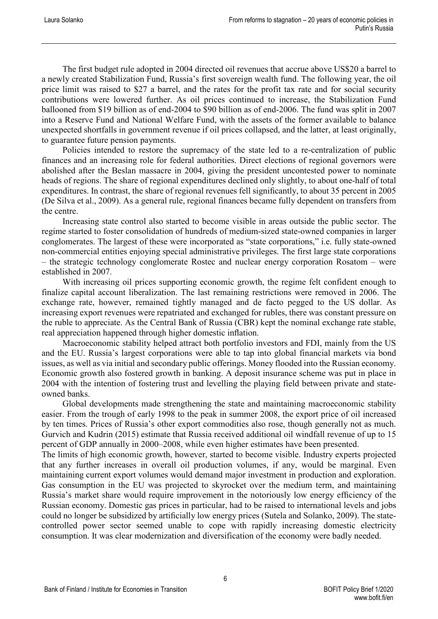The first budget rule adopted in 2004 directed oil revenues that accrue above US\$20 a barrel to a newly created Stabilization Fund, Russia's first sovereign wealth fund. The following year, the oil price limit was raised to \$27 a barrel, and the rates for the profit tax rate and for social security contributions were lowered further. As oil prices continued to increase, the Stabilization Fund ballooned from \$19 billion as of end-2004 to \$90 billion as of end-2006. The fund was split in 2007 into a Reserve Fund and National Welfare Fund, with the assets of the former available to balance unexpected shortfalls in government revenue if oil prices collapsed, and the latter, at least originally, to guarantee future pension payments.

Policies intended to restore the supremacy of the state led to a re-centralization of public finances and an increasing role for federal authorities. Direct elections of regional governors were abolished after the Beslan massacre in 2004, giving the president uncontested power to nominate heads of regions. The share of regional expenditures declined only slightly, to about one-half of total expenditures. In contrast, the share of regional revenues fell significantly, to about 35 percent in 2005 (De Silva et al., 2009). As a general rule, regional finances became fully dependent on transfers from the centre.

Increasing state control also started to become visible in areas outside the public sector. The regime started to foster consolidation of hundreds of medium-sized state-owned companies in larger conglomerates. The largest of these were incorporated as "state corporations," i.e. fully state-owned non-commercial entities enjoying special administrative privileges. The first large state corporations – the strategic technology conglomerate Rostec and nuclear energy corporation Rosatom – were established in 2007.

With increasing oil prices supporting economic growth, the regime felt confident enough to finalize capital account liberalization. The last remaining restrictions were removed in 2006. The exchange rate, however, remained tightly managed and de facto pegged to the US dollar. As increasing export revenues were repatriated and exchanged for rubles, there was constant pressure on the ruble to appreciate. As the Central Bank of Russia (CBR) kept the nominal exchange rate stable, real appreciation happened through higher domestic inflation.

Macroeconomic stability helped attract both portfolio investors and FDI, mainly from the US and the EU. Russia's largest corporations were able to tap into global financial markets via bond issues, as well as via initial and secondary public offerings. Money flooded into the Russian economy. Economic growth also fostered growth in banking. A deposit insurance scheme was put in place in 2004 with the intention of fostering trust and levelling the playing field between private and stateowned banks.

Global developments made strengthening the state and maintaining macroeconomic stability easier. From the trough of early 1998 to the peak in summer 2008, the export price of oil increased by ten times. Prices of Russia's other export commodities also rose, though generally not as much. Gurvich and Kudrin (2015) estimate that Russia received additional oil windfall revenue of up to 15 percent of GDP annually in 2000–2008, while even higher estimates have been presented.

The limits of high economic growth, however, started to become visible. Industry experts projected that any further increases in overall oil production volumes, if any, would be marginal. Even maintaining current export volumes would demand major investment in production and exploration. Gas consumption in the EU was projected to skyrocket over the medium term, and maintaining Russia's market share would require improvement in the notoriously low energy efficiency of the Russian economy. Domestic gas prices in particular, had to be raised to international levels and jobs could no longer be subsidized by artificially low energy prices (Sutela and Solanko, 2009). The statecontrolled power sector seemed unable to cope with rapidly increasing domestic electricity consumption. It was clear modernization and diversification of the economy were badly needed.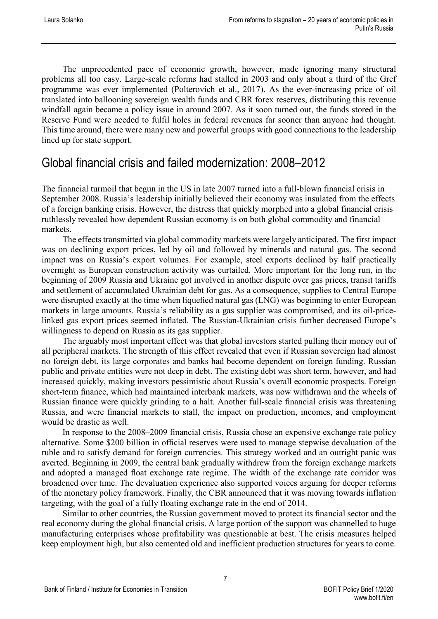The unprecedented pace of economic growth, however, made ignoring many structural problems all too easy. Large-scale reforms had stalled in 2003 and only about a third of the Gref programme was ever implemented (Polterovich et al., 2017). As the ever-increasing price of oil translated into ballooning sovereign wealth funds and CBR forex reserves, distributing this revenue windfall again became a policy issue in around 2007. As it soon turned out, the funds stored in the Reserve Fund were needed to fulfil holes in federal revenues far sooner than anyone had thought. This time around, there were many new and powerful groups with good connections to the leadership lined up for state support.

#### <span id="page-7-0"></span>Global financial crisis and failed modernization: 2008–2012

The financial turmoil that begun in the US in late 2007 turned into a full-blown financial crisis in September 2008. Russia's leadership initially believed their economy was insulated from the effects of a foreign banking crisis. However, the distress that quickly morphed into a global financial crisis ruthlessly revealed how dependent Russian economy is on both global commodity and financial markets.

The effects transmitted via global commodity markets were largely anticipated. The first impact was on declining export prices, led by oil and followed by minerals and natural gas. The second impact was on Russia's export volumes. For example, steel exports declined by half practically overnight as European construction activity was curtailed. More important for the long run, in the beginning of 2009 Russia and Ukraine got involved in another dispute over gas prices, transit tariffs and settlement of accumulated Ukrainian debt for gas. As a consequence, supplies to Central Europe were disrupted exactly at the time when liquefied natural gas (LNG) was beginning to enter European markets in large amounts. Russia's reliability as a gas supplier was compromised, and its oil-pricelinked gas export prices seemed inflated. The Russian-Ukrainian crisis further decreased Europe's willingness to depend on Russia as its gas supplier.

The arguably most important effect was that global investors started pulling their money out of all peripheral markets. The strength of this effect revealed that even if Russian sovereign had almost no foreign debt, its large corporates and banks had become dependent on foreign funding. Russian public and private entities were not deep in debt. The existing debt was short term, however, and had increased quickly, making investors pessimistic about Russia's overall economic prospects. Foreign short-term finance, which had maintained interbank markets, was now withdrawn and the wheels of Russian finance were quickly grinding to a halt. Another full-scale financial crisis was threatening Russia, and were financial markets to stall, the impact on production, incomes, and employment would be drastic as well.

In response to the 2008–2009 financial crisis, Russia chose an expensive exchange rate policy alternative. Some \$200 billion in official reserves were used to manage stepwise devaluation of the ruble and to satisfy demand for foreign currencies. This strategy worked and an outright panic was averted. Beginning in 2009, the central bank gradually withdrew from the foreign exchange markets and adopted a managed float exchange rate regime. The width of the exchange rate corridor was broadened over time. The devaluation experience also supported voices arguing for deeper reforms of the monetary policy framework. Finally, the CBR announced that it was moving towards inflation targeting, with the goal of a fully floating exchange rate in the end of 2014.

Similar to other countries, the Russian government moved to protect its financial sector and the real economy during the global financial crisis. A large portion of the support was channelled to huge manufacturing enterprises whose profitability was questionable at best. The crisis measures helped keep employment high, but also cemented old and inefficient production structures for years to come.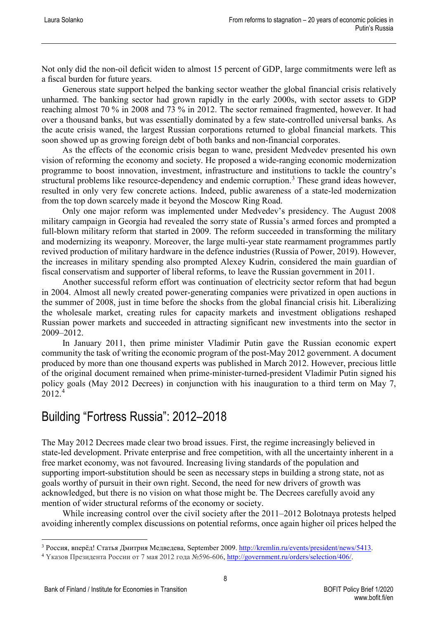Not only did the non-oil deficit widen to almost 15 percent of GDP, large commitments were left as a fiscal burden for future years.

Generous state support helped the banking sector weather the global financial crisis relatively unharmed. The banking sector had grown rapidly in the early 2000s, with sector assets to GDP reaching almost 70 % in 2008 and 73 % in 2012. The sector remained fragmented, however. It had over a thousand banks, but was essentially dominated by a few state-controlled universal banks. As the acute crisis waned, the largest Russian corporations returned to global financial markets. This soon showed up as growing foreign debt of both banks and non-financial corporates.

As the effects of the economic crisis began to wane, president Medvedev presented his own vision of reforming the economy and society. He proposed a wide-ranging economic modernization programme to boost innovation, investment, infrastructure and institutions to tackle the country's structural problems like resource-dependency and endemic corruption.<sup>[3](#page-8-1)</sup> These grand ideas however, resulted in only very few concrete actions. Indeed, public awareness of a state-led modernization from the top down scarcely made it beyond the Moscow Ring Road.

Only one major reform was implemented under Medvedev's presidency. The August 2008 military campaign in Georgia had revealed the sorry state of Russia's armed forces and prompted a full-blown military reform that started in 2009. The reform succeeded in transforming the military and modernizing its weaponry. Moreover, the large multi-year state rearmament programmes partly revived production of military hardware in the defence industries (Russia of Power, 2019). However, the increases in military spending also prompted Alexey Kudrin, considered the main guardian of fiscal conservatism and supporter of liberal reforms, to leave the Russian government in 2011.

Another successful reform effort was continuation of electricity sector reform that had begun in 2004. Almost all newly created power-generating companies were privatized in open auctions in the summer of 2008, just in time before the shocks from the global financial crisis hit. Liberalizing the wholesale market, creating rules for capacity markets and investment obligations reshaped Russian power markets and succeeded in attracting significant new investments into the sector in 2009–2012.

In January 2011, then prime minister Vladimir Putin gave the Russian economic expert community the task of writing the economic program of the post-May 2012 government. A document produced by more than one thousand experts was published in March 2012. However, precious little of the original document remained when prime-minister-turned-president Vladimir Putin signed his policy goals (May 2012 Decrees) in conjunction with his inauguration to a third term on May 7, 2012. [4](#page-8-2)

### <span id="page-8-0"></span>Building "Fortress Russia": 2012–2018

The May 2012 Decrees made clear two broad issues. First, the regime increasingly believed in state-led development. Private enterprise and free competition, with all the uncertainty inherent in a free market economy, was not favoured. Increasing living standards of the population and supporting import-substitution should be seen as necessary steps in building a strong state, not as goals worthy of pursuit in their own right. Second, the need for new drivers of growth was acknowledged, but there is no vision on what those might be. The Decrees carefully avoid any mention of wider structural reforms of the economy or society.

While increasing control over the civil society after the 2011–2012 Bolotnaya protests helped avoiding inherently complex discussions on potential reforms, once again higher oil prices helped the

<span id="page-8-1"></span> <sup>3</sup> Россия, вперёд! Статья Дмитрия Медведева, September 2009. [http://kremlin.ru/events/president/news/5413.](http://kremlin.ru/events/president/news/5413)

<span id="page-8-2"></span><sup>4</sup> Yказов Президента России от 7 мая 2012 года №596-606[, http://government.ru/orders/selection/406/.](http://government.ru/orders/selection/406/)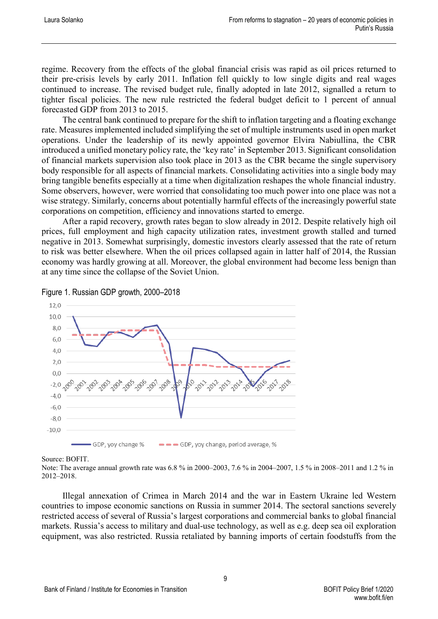regime. Recovery from the effects of the global financial crisis was rapid as oil prices returned to their pre-crisis levels by early 2011. Inflation fell quickly to low single digits and real wages continued to increase. The revised budget rule, finally adopted in late 2012, signalled a return to tighter fiscal policies. The new rule restricted the federal budget deficit to 1 percent of annual forecasted GDP from 2013 to 2015.

The central bank continued to prepare for the shift to inflation targeting and a floating exchange rate. Measures implemented included simplifying the set of multiple instruments used in open market operations. Under the leadership of its newly appointed governor Elvira Nabiullina, the CBR introduced a unified monetary policy rate, the 'key rate' in September 2013. Significant consolidation of financial markets supervision also took place in 2013 as the CBR became the single supervisory body responsible for all aspects of financial markets. Consolidating activities into a single body may bring tangible benefits especially at a time when digitalization reshapes the whole financial industry. Some observers, however, were worried that consolidating too much power into one place was not a wise strategy. Similarly, concerns about potentially harmful effects of the increasingly powerful state corporations on competition, efficiency and innovations started to emerge.

After a rapid recovery, growth rates began to slow already in 2012. Despite relatively high oil prices, full employment and high capacity utilization rates, investment growth stalled and turned negative in 2013. Somewhat surprisingly, domestic investors clearly assessed that the rate of return to risk was better elsewhere. When the oil prices collapsed again in latter half of 2014, the Russian economy was hardly growing at all. Moreover, the global environment had become less benign than at any time since the collapse of the Soviet Union.



Figure 1. Russian GDP growth, 2000–2018

#### Source: BOFIT.

Note: The average annual growth rate was 6.8 % in 2000–2003, 7.6 % in 2004–2007, 1.5 % in 2008–2011 and 1.2 % in 2012–2018.

Illegal annexation of Crimea in March 2014 and the war in Eastern Ukraine led Western countries to impose economic sanctions on Russia in summer 2014. The sectoral sanctions severely restricted access of several of Russia's largest corporations and commercial banks to global financial markets. Russia's access to military and dual-use technology, as well as e.g. deep sea oil exploration equipment, was also restricted. Russia retaliated by banning imports of certain foodstuffs from the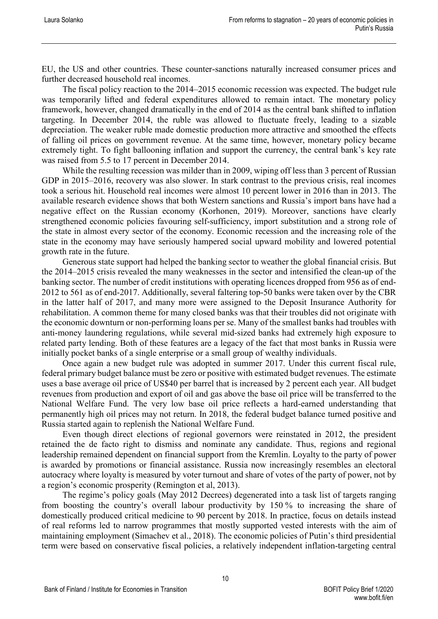EU, the US and other countries. These counter-sanctions naturally increased consumer prices and further decreased household real incomes.

The fiscal policy reaction to the 2014–2015 economic recession was expected. The budget rule was temporarily lifted and federal expenditures allowed to remain intact. The monetary policy framework, however, changed dramatically in the end of 2014 as the central bank shifted to inflation targeting. In December 2014, the ruble was allowed to fluctuate freely, leading to a sizable depreciation. The weaker ruble made domestic production more attractive and smoothed the effects of falling oil prices on government revenue. At the same time, however, monetary policy became extremely tight. To fight ballooning inflation and support the currency, the central bank's key rate was raised from 5.5 to 17 percent in December 2014.

While the resulting recession was milder than in 2009, wiping off less than 3 percent of Russian GDP in 2015–2016, recovery was also slower. In stark contrast to the previous crisis, real incomes took a serious hit. Household real incomes were almost 10 percent lower in 2016 than in 2013. The available research evidence shows that both Western sanctions and Russia's import bans have had a negative effect on the Russian economy (Korhonen, 2019). Moreover, sanctions have clearly strengthened economic policies favouring self-sufficiency, import substitution and a strong role of the state in almost every sector of the economy. Economic recession and the increasing role of the state in the economy may have seriously hampered social upward mobility and lowered potential growth rate in the future.

Generous state support had helped the banking sector to weather the global financial crisis. But the 2014–2015 crisis revealed the many weaknesses in the sector and intensified the clean-up of the banking sector. The number of credit institutions with operating licences dropped from 956 as of end-2012 to 561 as of end-2017. Additionally, several faltering top-50 banks were taken over by the CBR in the latter half of 2017, and many more were assigned to the Deposit Insurance Authority for rehabilitation. A common theme for many closed banks was that their troubles did not originate with the economic downturn or non-performing loans per se. Many of the smallest banks had troubles with anti-money laundering regulations, while several mid-sized banks had extremely high exposure to related party lending. Both of these features are a legacy of the fact that most banks in Russia were initially pocket banks of a single enterprise or a small group of wealthy individuals.

Once again a new budget rule was adopted in summer 2017. Under this current fiscal rule, federal primary budget balance must be zero or positive with estimated budget revenues. The estimate uses a base average oil price of US\$40 per barrel that is increased by 2 percent each year. All budget revenues from production and export of oil and gas above the base oil price will be transferred to the National Welfare Fund. The very low base oil price reflects a hard-earned understanding that permanently high oil prices may not return. In 2018, the federal budget balance turned positive and Russia started again to replenish the National Welfare Fund.

Even though direct elections of regional governors were reinstated in 2012, the president retained the de facto right to dismiss and nominate any candidate. Thus, regions and regional leadership remained dependent on financial support from the Kremlin. Loyalty to the party of power is awarded by promotions or financial assistance. Russia now increasingly resembles an electoral autocracy where loyalty is measured by voter turnout and share of votes of the party of power, not by a region's economic prosperity (Remington et al, 2013).

The regime's policy goals (May 2012 Decrees) degenerated into a task list of targets ranging from boosting the country's overall labour productivity by 150 % to increasing the share of domestically produced critical medicine to 90 percent by 2018. In practice, focus on details instead of real reforms led to narrow programmes that mostly supported vested interests with the aim of maintaining employment (Simachev et al., 2018). The economic policies of Putin's third presidential term were based on conservative fiscal policies, a relatively independent inflation-targeting central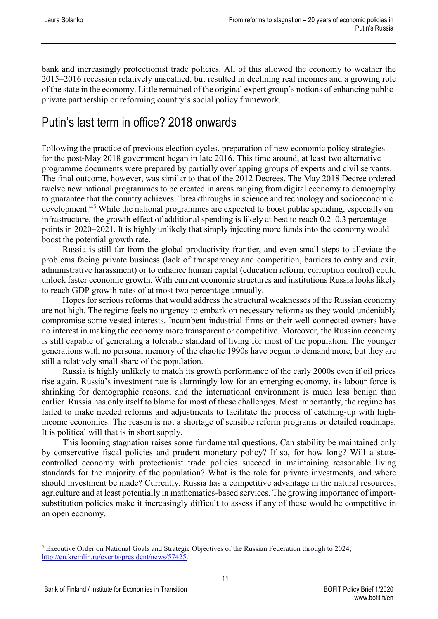bank and increasingly protectionist trade policies. All of this allowed the economy to weather the 2015–2016 recession relatively unscathed, but resulted in declining real incomes and a growing role of the state in the economy. Little remained of the original expert group's notions of enhancing publicprivate partnership or reforming country's social policy framework.

### <span id="page-11-0"></span>Putin's last term in office? 2018 onwards

Following the practice of previous election cycles, preparation of new economic policy strategies for the post-May 2018 government began in late 2016. This time around, at least two alternative programme documents were prepared by partially overlapping groups of experts and civil servants. The final outcome, however, was similar to that of the 2012 Decrees. The May 2018 Decree ordered twelve new national programmes to be created in areas ranging from digital economy to demography to guarantee that the country achieves *"*breakthroughs in science and technology and socioeconomic development."[5](#page-11-1) While the national programmes are expected to boost public spending, especially on infrastructure, the growth effect of additional spending is likely at best to reach 0.2–0.3 percentage points in 2020–2021. It is highly unlikely that simply injecting more funds into the economy would boost the potential growth rate.

Russia is still far from the global productivity frontier, and even small steps to alleviate the problems facing private business (lack of transparency and competition, barriers to entry and exit, administrative harassment) or to enhance human capital (education reform, corruption control) could unlock faster economic growth. With current economic structures and institutions Russia looks likely to reach GDP growth rates of at most two percentage annually.

Hopes for serious reforms that would address the structural weaknesses of the Russian economy are not high. The regime feels no urgency to embark on necessary reforms as they would undeniably compromise some vested interests. Incumbent industrial firms or their well-connected owners have no interest in making the economy more transparent or competitive. Moreover, the Russian economy is still capable of generating a tolerable standard of living for most of the population. The younger generations with no personal memory of the chaotic 1990s have begun to demand more, but they are still a relatively small share of the population.

Russia is highly unlikely to match its growth performance of the early 2000s even if oil prices rise again. Russia's investment rate is alarmingly low for an emerging economy, its labour force is shrinking for demographic reasons, and the international environment is much less benign than earlier. Russia has only itself to blame for most of these challenges. Most importantly, the regime has failed to make needed reforms and adjustments to facilitate the process of catching-up with highincome economies. The reason is not a shortage of sensible reform programs or detailed roadmaps. It is political will that is in short supply.

This looming stagnation raises some fundamental questions. Can stability be maintained only by conservative fiscal policies and prudent monetary policy? If so, for how long? Will a statecontrolled economy with protectionist trade policies succeed in maintaining reasonable living standards for the majority of the population? What is the role for private investments, and where should investment be made? Currently, Russia has a competitive advantage in the natural resources, agriculture and at least potentially in mathematics-based services. The growing importance of importsubstitution policies make it increasingly difficult to assess if any of these would be competitive in an open economy.

<span id="page-11-1"></span> <sup>5</sup> Executive Order on National Goals and Strategic Objectives of the Russian Federation through to 2024, [http://en.kremlin.ru/events/president/news/57425.](http://en.kremlin.ru/events/president/news/57425)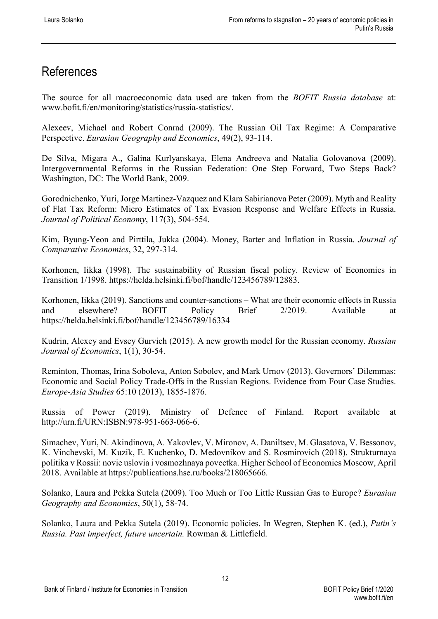## <span id="page-12-0"></span>References

The source for all macroeconomic data used are taken from the *BOFIT Russia database* at: [www.bofit.fi/en/monitoring/statistics/russia-statistics/.](http://www.bofit.fi/en/monitoring/statistics/russia-statistics/)

Alexeev, Michael and Robert Conrad (2009). The Russian Oil Tax Regime: A Comparative Perspective. *Eurasian Geography and Economics*, 49(2), 93-114.

De Silva, Migara A., Galina Kurlyanskaya, Elena Andreeva and Natalia Golovanova (2009). Intergovernmental Reforms in the Russian Federation: One Step Forward, Two Steps Back? Washington, DC: The World Bank, 2009.

Gorodnichenko, Yuri, Jorge Martinez‐Vazquez and Klara Sabirianova Peter (2009). Myth and Reality of Flat Tax Reform: Micro Estimates of Tax Evasion Response and Welfare Effects in Russia. *Journal of Political Economy*, 117(3), 504-554.

Kim, Byung-Yeon and Pirttila, Jukka (2004). Money, Barter and Inflation in Russia. *Journal of Comparative Economics*, 32, 297-314.

Korhonen, Iikka (1998). The sustainability of Russian fiscal policy. Review of Economies in Transition 1/1998. [https://helda.helsinki.fi/bof/handle/123456789/12883.](https://helda.helsinki.fi/bof/handle/123456789/12883)

Korhonen, Iikka (2019). Sanctions and counter-sanctions – What are their economic effects in Russia and elsewhere? BOFIT Policy Brief 2/2019. Available at <https://helda.helsinki.fi/bof/handle/123456789/16334>

Kudrin, Alexey and Evsey Gurvich (2015). A new growth model for the Russian economy. *Russian Journal of Economics*, 1(1), 30-54.

Reminton, Thomas, Irina Soboleva, Anton Sobolev, and Mark Urnov (2013). Governors' Dilemmas: Economic and Social Policy Trade-Offs in the Russian Regions. Evidence from Four Case Studies. *Europe-Asia Studies* 65:10 (2013), 1855-1876.

Russia of Power (2019). Ministry of Defence of Finland. Report available at [http://urn.fi/URN:ISBN:978-951-663-066-6.](http://urn.fi/URN:ISBN:978-951-663-066-6)

Simachev, Yuri, N. Akindinova, A. Yakovlev, V. Mironov, A. Daniltsev, M. Glasatova, V. Bessonov, K. Vinchevski, M. Kuzik, E. Kuchenko, D. Medovnikov and S. Rosmirovich (2018). Strukturnaya politika v Rossii: novie uslovia i vosmozhnaya povectka. Higher School of Economics Moscow, April 2018. Available at [https://publications.hse.ru/books/218065666.](https://publications.hse.ru/books/218065666)

Solanko, Laura and Pekka Sutela (2009). Too Much or Too Little Russian Gas to Europe? *Eurasian Geography and Economics*, 50(1), 58-74.

Solanko, Laura and Pekka Sutela (2019). Economic policies. In Wegren, Stephen K. (ed.), *Putin's Russia. Past imperfect, future uncertain.* Rowman & Littlefield.

12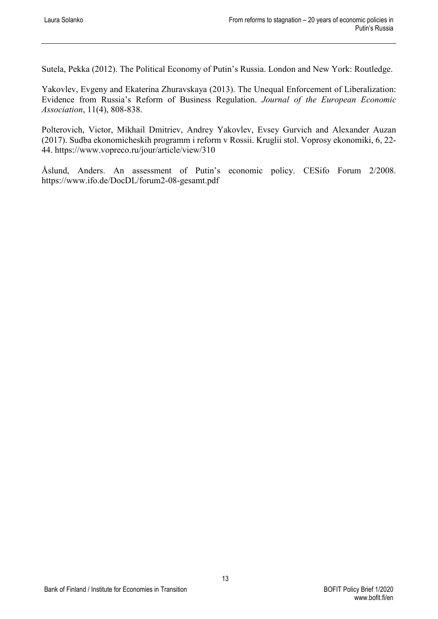Sutela, Pekka (2012). The Political Economy of Putin's Russia. London and New York: Routledge.

Yakovlev, Evgeny and Ekaterina Zhuravskaya (2013). The Unequal Enforcement of Liberalization: Evidence from Russia's Reform of Business Regulation. *Journal of the European Economic Association*, 11(4), 808-838.

Polterovich, Victor, Mikhail Dmitriev, Andrey Yakovlev, Evsey Gurvich and Alexander Auzan (2017). Sudba ekonomicheskih programm i reform v Rossii. Kruglii stol. Voprosy ekonomiki, 6, 22- 44.<https://www.vopreco.ru/jour/article/view/310>

Åslund, Anders. An assessment of Putin's economic policy. CESifo Forum 2/2008. <https://www.ifo.de/DocDL/forum2-08-gesamt.pdf>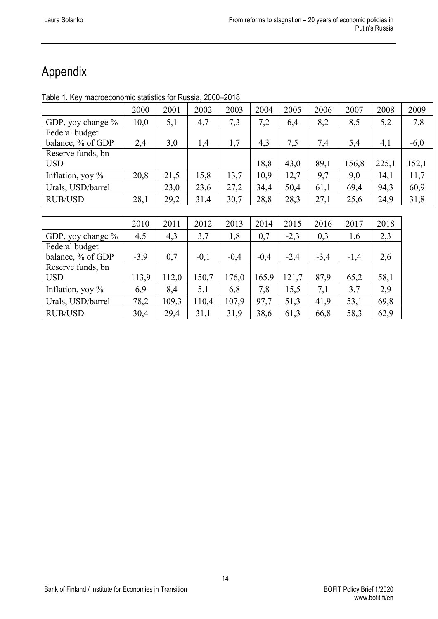## <span id="page-14-0"></span>Appendix

Table 1. Key macroeconomic statistics for Russia, 2000–2018

|                     | 2000   | 2001  | 2002   | 2003   | 2004   | 2005   | 2006   | 2007   | 2008  | 2009   |
|---------------------|--------|-------|--------|--------|--------|--------|--------|--------|-------|--------|
| GDP, yoy change %   | 10,0   | 5,1   | 4,7    | 7,3    | 7,2    | 6,4    | 8,2    | 8,5    | 5,2   | $-7,8$ |
| Federal budget      |        |       |        |        |        |        |        |        |       |        |
| balance, % of GDP   | 2,4    | 3,0   | 1,4    | 1,7    | 4,3    | 7,5    | 7,4    | 5,4    | 4,1   | $-6,0$ |
| Reserve funds, bn   |        |       |        |        |        |        |        |        |       |        |
| <b>USD</b>          |        |       |        |        | 18,8   | 43,0   | 89,1   | 156,8  | 225,1 | 152,1  |
| Inflation, yoy $\%$ | 20,8   | 21,5  | 15,8   | 13,7   | 10,9   | 12,7   | 9,7    | 9,0    | 14,1  | 11,7   |
| Urals, USD/barrel   |        | 23,0  | 23,6   | 27,2   | 34,4   | 50,4   | 61,1   | 69,4   | 94,3  | 60,9   |
| <b>RUB/USD</b>      | 28,1   | 29,2  | 31,4   | 30,7   | 28,8   | 28,3   | 27,1   | 25,6   | 24,9  | 31,8   |
|                     |        |       |        |        |        |        |        |        |       |        |
|                     | 2010   | 2011  | 2012   | 2013   | 2014   | 2015   | 2016   | 2017   | 2018  |        |
| GDP, yoy change %   | 4,5    | 4,3   | 3,7    | 1,8    | 0,7    | $-2,3$ | 0,3    | 1,6    | 2,3   |        |
| Federal budget      |        |       |        |        |        |        |        |        |       |        |
| balance, % of GDP   | $-3,9$ | 0,7   | $-0,1$ | $-0,4$ | $-0,4$ | $-2,4$ | $-3,4$ | $-1,4$ | 2,6   |        |
| Reserve funds, bn   |        |       |        |        |        |        |        |        |       |        |
| <b>USD</b>          | 113,9  | 112,0 | 150,7  | 176,0  | 165,9  | 121,7  | 87,9   | 65,2   | 58,1  |        |

Inflation, yoy % 6,9 8,4 5,1 6,8 7,8 15,5 7,1 3,7 2,9 Urals, USD/barrel | 78,2 | 109,3 | 110,4 | 107,9 | 97,7 | 51,3 | 41,9 | 53,1 | 69,8 RUB/USD | 30,4 | 29,4 | 31,1 | 31,9 | 38,6 | 61,3 | 66,8 | 58,3 | 62,9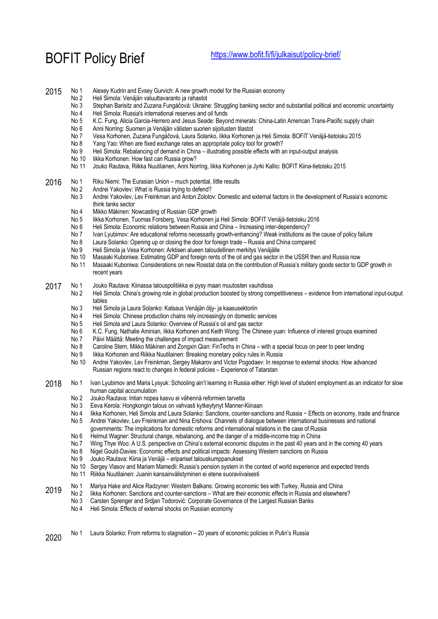BOFIT Policy Brief <https://www.bofit.fi/fi/julkaisut/policy-brief/>

| 2015 | No 1<br>No 2<br>No 3<br>No 4<br>No 5<br>No 6<br>No 7<br>No 8<br>No 9<br>No 10<br>No 11 | Alexey Kudrin and Evsey Gurvich: A new growth model for the Russian economy<br>Heli Simola: Venäjän valuuttavaranto ja rahastot<br>Stephan Barisitz and Zuzana Fungáčová: Ukraine: Struggling banking sector and substantial political and economic uncertainty<br>Heli Simola: Russia's international reserves and oil funds<br>K.C. Fung, Alicia Garcia-Herrero and Jesus Seade: Beyond minerals: China-Latin American Trans-Pacific supply chain<br>Anni Norring: Suomen ja Venäjän välisten suorien sijoitusten tilastot<br>Vesa Korhonen, Zuzana Fungáčová, Laura Solanko, likka Korhonen ja Heli Simola: BOFIT Venäjä-tietoisku 2015<br>Yang Yao: When are fixed exchange rates an appropriate policy tool for growth?<br>Heli Simola: Rebalancing of demand in China - illustrating possible effects with an input-output analysis<br>likka Korhonen: How fast can Russia grow?<br>Jouko Rautava, Riikka Nuutilainen, Anni Norring, likka Korhonen ja Jyrki Kallio: BOFIT Kiina-tietoisku 2015                                                                                                                                                                                                                                                                                    |
|------|----------------------------------------------------------------------------------------|------------------------------------------------------------------------------------------------------------------------------------------------------------------------------------------------------------------------------------------------------------------------------------------------------------------------------------------------------------------------------------------------------------------------------------------------------------------------------------------------------------------------------------------------------------------------------------------------------------------------------------------------------------------------------------------------------------------------------------------------------------------------------------------------------------------------------------------------------------------------------------------------------------------------------------------------------------------------------------------------------------------------------------------------------------------------------------------------------------------------------------------------------------------------------------------------------------------------------------------------------------------------------------------|
| 2016 | No 1<br>No 2<br>No 3<br>No 4<br>No 5<br>No 6<br>No 7<br>No 8<br>No 9<br>No 10<br>No 11 | Riku Niemi: The Eurasian Union - much potential, little results<br>Andrei Yakovlev: What is Russia trying to defend?<br>Andrei Yakovlev, Lev Freinkman and Anton Zolotov: Domestic and external factors in the development of Russia's economic<br>think tanks sector<br>Mikko Mäkinen: Nowcasting of Russian GDP growth<br>likka Korhonen, Tuomas Forsberg, Vesa Korhonen ja Heli Simola: BOFIT Venäjä-tietoisku 2016<br>Heli Simola: Economic relations between Russia and China - Increasing inter-dependency?<br>Ivan Lyubimov: Are educational reforms necessarily growth-enhancing? Weak institutions as the cause of policy failure<br>Laura Solanko: Opening up or closing the door for foreign trade - Russia and China compared<br>Heli Simola ja Vesa Korhonen: Arktisen alueen taloudellinen merkitys Venäjälle<br>Masaaki Kuboniwa: Estimating GDP and foreign rents of the oil and gas sector in the USSR then and Russia now<br>Masaaki Kuboniwa: Considerations on new Rosstat data on the contribution of Russia's military goods sector to GDP growth in<br>recent years                                                                                                                                                                                               |
| 2017 | No 1<br>No 2<br>No 3<br>No 4<br>No 5<br>No 6<br>No 7<br>No 8<br>No 9<br>No 10          | Jouko Rautava: Kiinassa talouspolitiikka ei pysy maan muutosten vauhdissa<br>Heli Simola: China's growing role in global production boosted by strong competitiveness - evidence from international input-output<br>tables<br>Heli Simola ja Laura Solanko: Katsaus Venäjän öljy- ja kaasusektoriin<br>Heli Simola: Chinese production chains rely increasingly on domestic services<br>Heli Simola and Laura Solanko: Overview of Russia's oil and gas sector<br>K.C. Fung, Nathalie Aminian, likka Korhonen and Keith Wong: The Chinese yuan: Influence of interest groups examined<br>Päivi Määttä: Meeting the challenges of impact measurement<br>Caroline Stern, Mikko Mäkinen and Zongxin Qian: FinTechs in China - with a special focus on peer to peer lending<br>likka Korhonen and Riikka Nuutilainen: Breaking monetary policy rules in Russia<br>Andrei Yakovlev, Lev Freinkman, Sergey Makarov and Victor Pogodaev: In response to external shocks: How advanced<br>Russian regions react to changes in federal policies - Experience of Tatarstan                                                                                                                                                                                                                         |
| 2018 | No 1<br>No 2<br>No 4<br>No 5<br>No 6<br>No 7<br>No 8<br>No 9<br>No 10<br>No 11         | Ivan Lyubimov and Maria Lysyuk: Schooling ain't learning in Russia either: High level of student employment as an indicator for slow<br>human capital accumulation<br>Jouko Rautava: Intian nopea kasvu ei vähennä reformien tarvetta<br>No 3 Eeva Kerola: Hongkongin talous on vahvasti kytkeytynyt Manner-Kiinaan<br>likka Korhonen, Heli Simola and Laura Solanko: Sanctions, counter-sanctions and Russia - Effects on economy, trade and finance<br>Andrei Yakovlev, Lev Freinkman and Nina Ershova: Channels of dialogue between international businesses and national<br>governments: The implications for domestic reforms and international relations in the case of Russia<br>Helmut Wagner: Structural change, rebalancing, and the danger of a middle-income trap in China<br>Wing Thye Woo: A U.S. perspective on China's external economic disputes in the past 40 years and in the coming 40 years<br>Nigel Gould-Davies: Economic effects and political impacts: Assessing Western sanctions on Russia<br>Jouko Rautava: Kiina ja Venäjä – eripariset talouskumppanukset<br>Sergey Vlasov and Mariam Mamedli: Russia's pension system in the context of world experience and expected trends<br>Riikka Nuutilainen: Juanin kansainvälistyminen ei etene suoraviivaisesti |
| 2019 | No 1<br>No 2<br>No 3<br>No 4                                                           | Mariya Hake and Alice Radzyner: Western Balkans: Growing economic ties with Turkey, Russia and China<br>likka Korhonen: Sanctions and counter-sanctions – What are their economic effects in Russia and elsewhere?<br>Carsten Sprenger and Srdjan Todorović: Corporate Governance of the Largest Russian Banks<br>Heli Simola: Effects of external shocks on Russian economy                                                                                                                                                                                                                                                                                                                                                                                                                                                                                                                                                                                                                                                                                                                                                                                                                                                                                                             |

2020 No 1 Laura Solanko: From reforms to stagnation – 20 years of economic policies in Putin's Russia